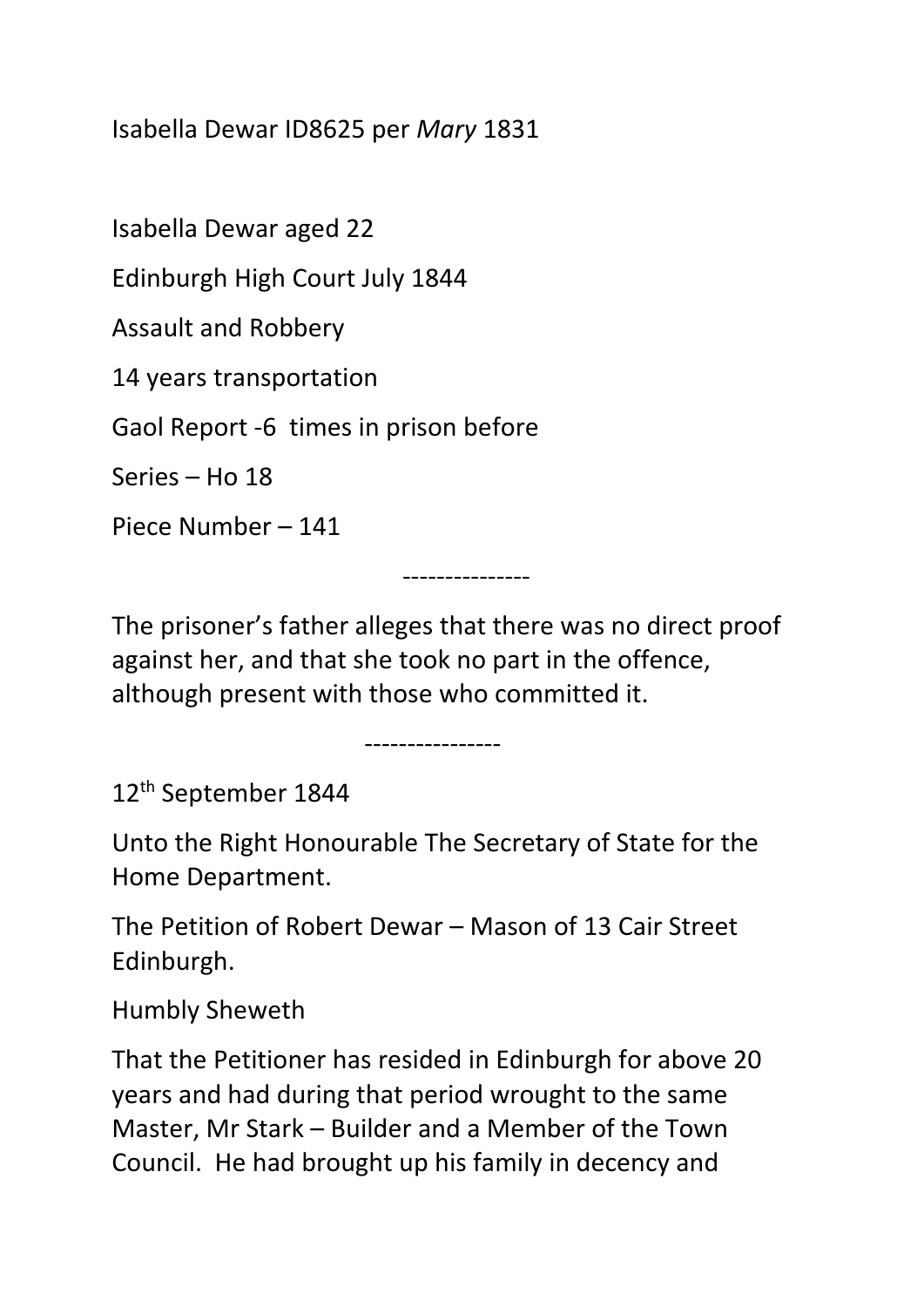Isabella Dewar ID8625 per *Mary* 1831

Isabella Dewar aged 22

Edinburgh High Court July 1844

Assault and Robbery

14 years transportation

Gaol Report -6 times in prison before

Series – Ho 18

Piece Number – 141

---------------

The prisoner's father alleges that there was no direct proof against her, and that she took no part in the offence, although present with those who committed it.

------------------<br>----------------

12th September 1844

Unto the Right Honourable The Secretary of State for the Home Department.

The Petition of Robert Dewar – Mason of 13 Cair Street Edinburgh.

Humbly Sheweth

That the Petitioner has resided in Edinburgh for above 20 years and had during that period wrought to the same Master, Mr Stark – Builder and a Member of the Town Council. He had brought up his family in decency and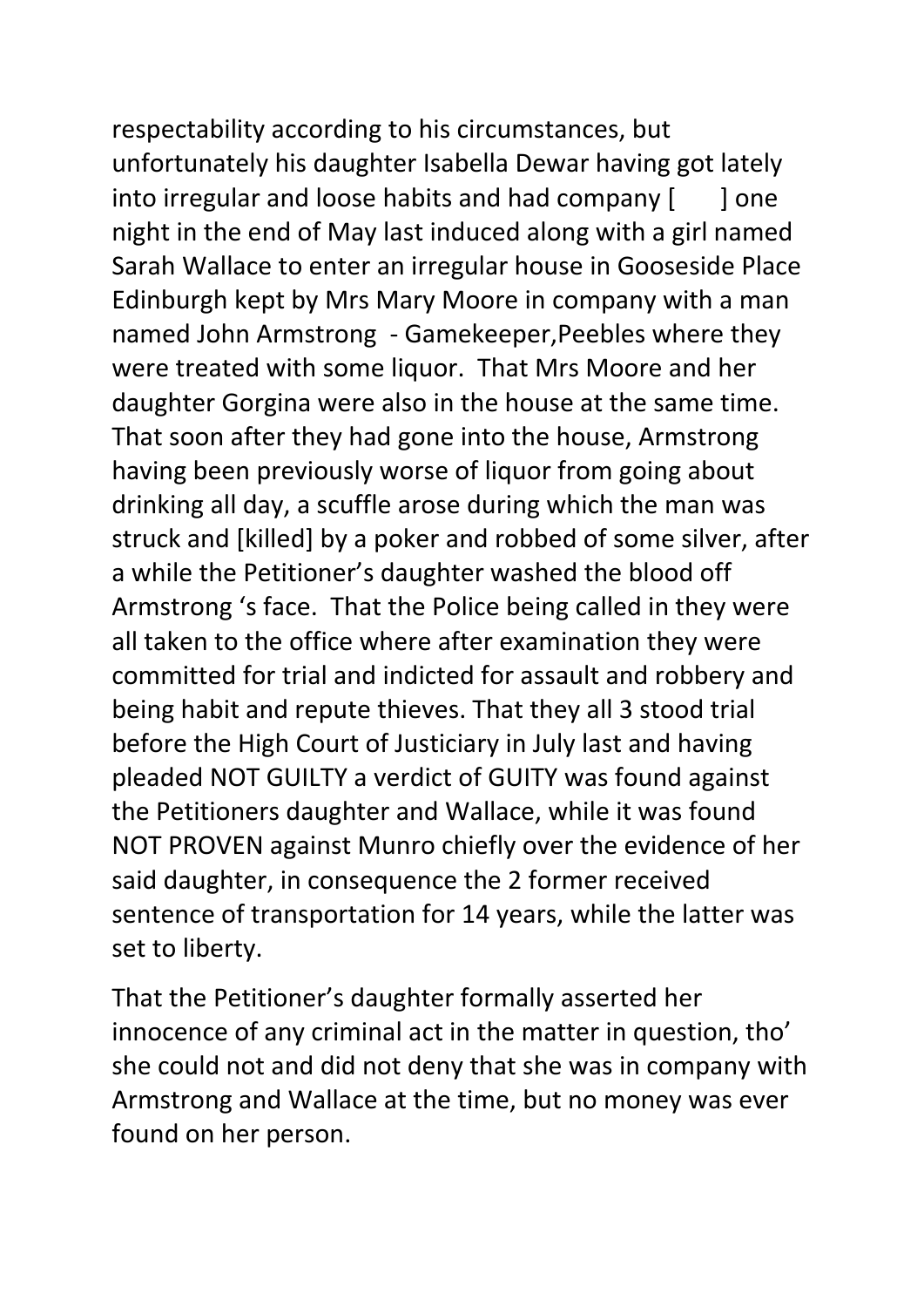respectability according to his circumstances, but unfortunately his daughter Isabella Dewar having got lately into irregular and loose habits and had company  $\begin{bmatrix} 1 \\ 0 \end{bmatrix}$  one night in the end of May last induced along with a girl named Sarah Wallace to enter an irregular house in Gooseside Place Edinburgh kept by Mrs Mary Moore in company with a man named John Armstrong - Gamekeeper,Peebles where they were treated with some liquor. That Mrs Moore and her daughter Gorgina were also in the house at the same time. That soon after they had gone into the house, Armstrong having been previously worse of liquor from going about drinking all day, a scuffle arose during which the man was struck and [killed] by a poker and robbed of some silver, after a while the Petitioner's daughter washed the blood off Armstrong 's face. That the Police being called in they were all taken to the office where after examination they were committed for trial and indicted for assault and robbery and being habit and repute thieves. That they all 3 stood trial before the High Court of Justiciary in July last and having pleaded NOT GUILTY a verdict of GUITY was found against the Petitioners daughter and Wallace, while it was found NOT PROVEN against Munro chiefly over the evidence of her said daughter, in consequence the 2 former received sentence of transportation for 14 years, while the latter was set to liberty.

That the Petitioner's daughter formally asserted her innocence of any criminal act in the matter in question, tho' she could not and did not deny that she was in company with Armstrong and Wallace at the time, but no money was ever found on her person.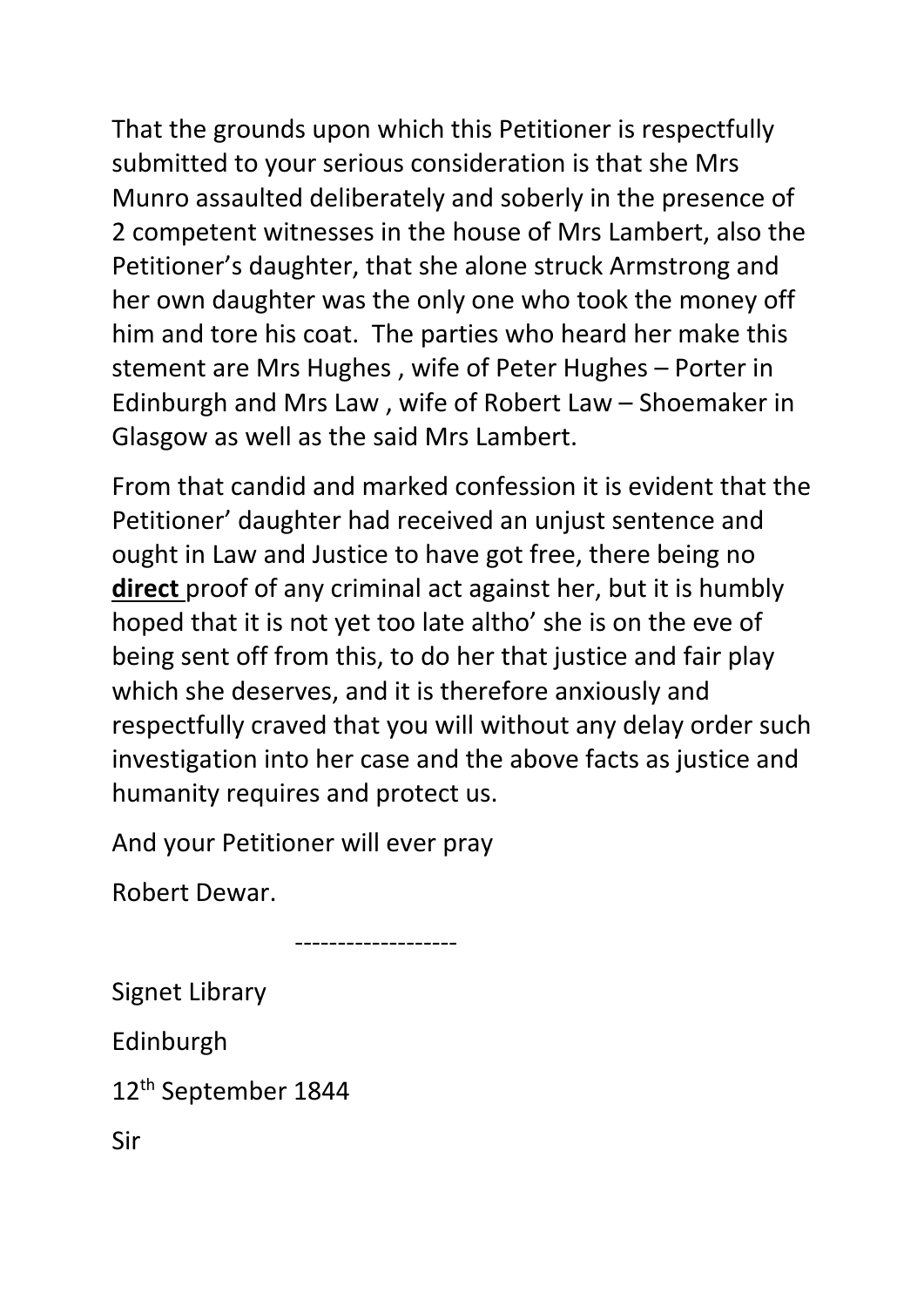That the grounds upon which this Petitioner is respectfully submitted to your serious consideration is that she Mrs Munro assaulted deliberately and soberly in the presence of 2 competent witnesses in the house of Mrs Lambert, also the Petitioner's daughter, that she alone struck Armstrong and her own daughter was the only one who took the money off him and tore his coat. The parties who heard her make this stement are Mrs Hughes , wife of Peter Hughes – Porter in Edinburgh and Mrs Law , wife of Robert Law – Shoemaker in Glasgow as well as the said Mrs Lambert.

From that candid and marked confession it is evident that the Petitioner' daughter had received an unjust sentence and ought in Law and Justice to have got free, there being no **direct** proof of any criminal act against her, but it is humbly hoped that it is not yet too late altho' she is on the eve of being sent off from this, to do her that justice and fair play which she deserves, and it is therefore anxiously and respectfully craved that you will without any delay order such investigation into her case and the above facts as justice and humanity requires and protect us.

And your Petitioner will ever pray

-------------------

Robert Dewar.

Signet Library

Edinburgh

12th September 1844

Sir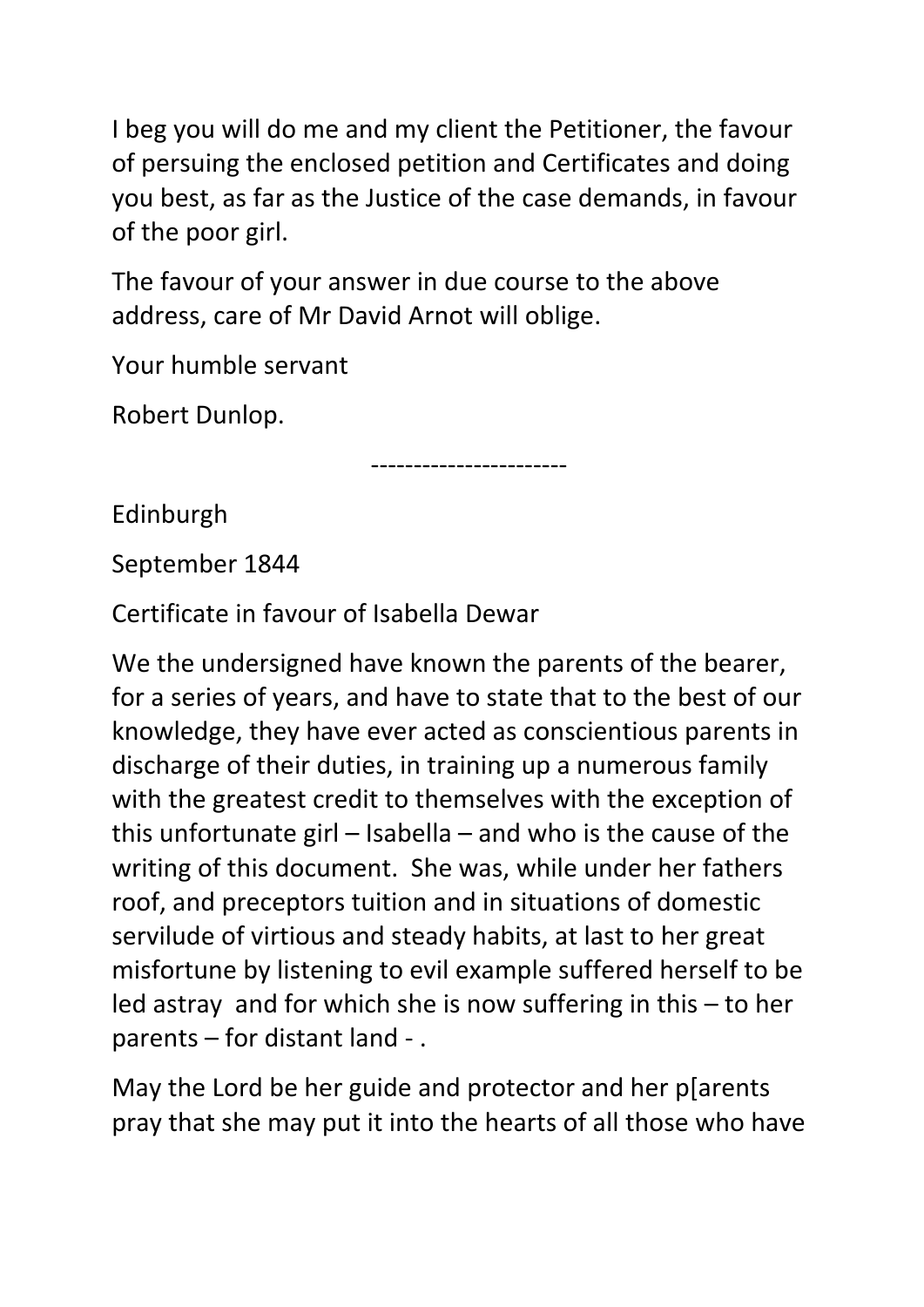I beg you will do me and my client the Petitioner, the favour of persuing the enclosed petition and Certificates and doing you best, as far as the Justice of the case demands, in favour of the poor girl.

The favour of your answer in due course to the above address, care of Mr David Arnot will oblige.

Your humble servant

Robert Dunlop.

-----------------------

Edinburgh

September 1844

Certificate in favour of Isabella Dewar

We the undersigned have known the parents of the bearer, for a series of years, and have to state that to the best of our knowledge, they have ever acted as conscientious parents in discharge of their duties, in training up a numerous family with the greatest credit to themselves with the exception of this unfortunate girl – Isabella – and who is the cause of the writing of this document. She was, while under her fathers roof, and preceptors tuition and in situations of domestic servilude of virtious and steady habits, at last to her great misfortune by listening to evil example suffered herself to be led astray and for which she is now suffering in this – to her parents – for distant land - .

May the Lord be her guide and protector and her p[arents pray that she may put it into the hearts of all those who have